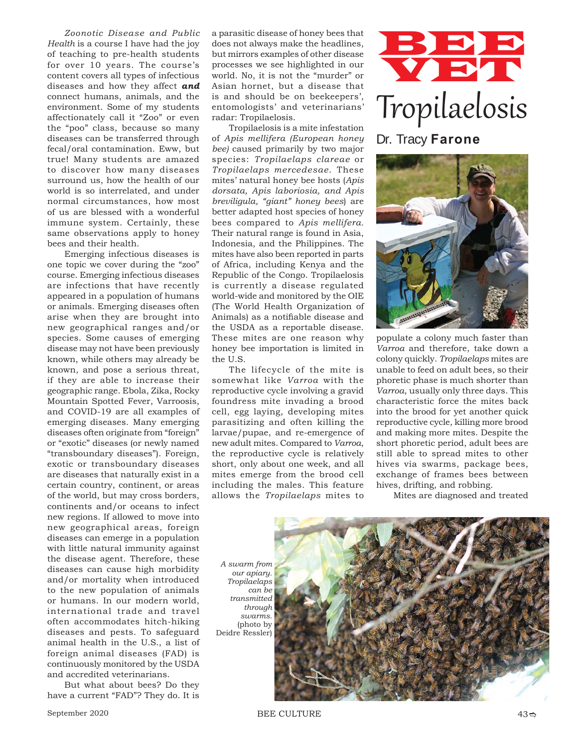*Zoonotic Disease and Public Health* is a course I have had the joy of teaching to pre-health students for over 10 years. The course's content covers all types of infectious diseases and how they affect *and* connect humans, animals, and the environment. Some of my students affectionately call it "Zoo" or even the "poo" class, because so many diseases can be transferred through fecal/oral contamination. Eww, but true! Many students are amazed to discover how many diseases surround us, how the health of our world is so interrelated, and under normal circumstances, how most of us are blessed with a wonderful immune system. Certainly, these same observations apply to honey bees and their health.

Emerging infectious diseases is one topic we cover during the "zoo" course. Emerging infectious diseases are infections that have recently appeared in a population of humans or animals. Emerging diseases often arise when they are brought into new geographical ranges and/or species. Some causes of emerging disease may not have been previously known, while others may already be known, and pose a serious threat, if they are able to increase their geographic range. Ebola, Zika, Rocky Mountain Spotted Fever, Varroosis, and COVID-19 are all examples of emerging diseases. Many emerging diseases often originate from "foreign" or "exotic" diseases (or newly named "transboundary diseases"). Foreign, exotic or transboundary diseases are diseases that naturally exist in a certain country, continent, or areas of the world, but may cross borders, continents and/or oceans to infect new regions. If allowed to move into new geographical areas, foreign diseases can emerge in a population with little natural immunity against the disease agent. Therefore, these diseases can cause high morbidity and/or mortality when introduced to the new population of animals or humans. In our modern world, international trade and travel often accommodates hitch-hiking diseases and pests. To safeguard animal health in the U.S., a list of foreign animal diseases (FAD) is continuously monitored by the USDA and accredited veterinarians.

But what about bees? Do they have a current "FAD"? They do. It is

a parasitic disease of honey bees that does not always make the headlines, but mirrors examples of other disease processes we see highlighted in our world. No, it is not the "murder" or Asian hornet, but a disease that is and should be on beekeepers', entomologists' and veterinarians' radar: Tropilaelosis.

Tropilaelosis is a mite infestation of *Apis mellifera (European honey bee)* caused primarily by two major species: *Tropilaelaps clareae* or *Tropilaelaps mercedesae*. These mites' natural honey bee hosts (*Apis dorsata, Apis laboriosia, and Apis breviligula, "giant" honey bees*) are better adapted host species of honey bees compared to *Apis mellifera.*  Their natural range is found in Asia, Indonesia, and the Philippines. The mites have also been reported in parts of Africa, including Kenya and the Republic of the Congo. Tropilaelosis is currently a disease regulated world-wide and monitored by the OIE (The World Health Organization of Animals) as a notifiable disease and the USDA as a reportable disease. These mites are one reason why honey bee importation is limited in the U.S.

The lifecycle of the mite is somewhat like *Varroa* with the reproductive cycle involving a gravid foundress mite invading a brood cell, egg laying, developing mites parasitizing and often killing the larvae/pupae, and re-emergence of new adult mites. Compared to *Varroa*, the reproductive cycle is relatively short, only about one week, and all mites emerge from the brood cell including the males. This feature allows the *Tropilaelaps* mites to





populate a colony much faster than *Varroa* and therefore, take down a colony quickly. *Tropilaelaps* mites are unable to feed on adult bees, so their phoretic phase is much shorter than *Varroa*, usually only three days. This characteristic force the mites back into the brood for yet another quick reproductive cycle, killing more brood and making more mites. Despite the short phoretic period, adult bees are still able to spread mites to other hives via swarms, package bees, exchange of frames bees between hives, drifting, and robbing.

Mites are diagnosed and treated

*A swarm from our apiary. Tropilaelaps can be transmitted through swarms.* (photo by Deidre Ressler)